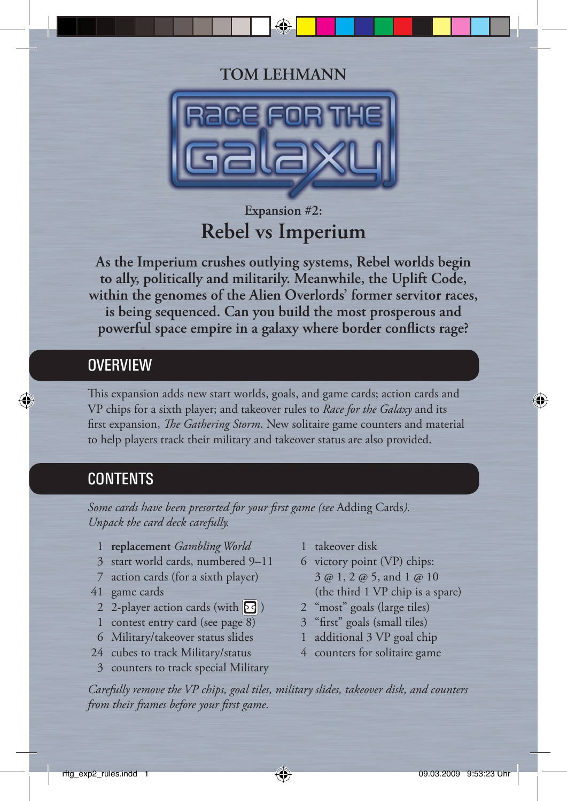### **TOM LEHMANN**



# **Expansion #2: Rebel vs Imperium**

**As the Imperium crushes outlying systems, Rebel worlds begin to ally, politically and militarily. Meanwhile, the Uplift Code, within the genomes of the Alien Overlords' former servitor races, is being sequenced. Can you build the most prosperous and** powerful space empire in a galaxy where border conflicts rage?

#### **OVERVIEW**

This expansion adds new start worlds, goals, and game cards; action cards and VP chips for a sixth player; and takeover rules to *Race for the Galaxy* and its first expansion, *The Gathering Storm*. New solitaire game counters and material to help players track their military and takeover status are also provided.

### **CONTENTS**

Some cards have been presorted for your first game (see Adding Cards). *Unpack the card deck carefully.*

- 1 **replacement** *Gambling World*
- 3 start world cards, numbered 9–11
- 7 action cards (for a sixth player)
- 41 game cards
	- 2 2-player action cards (with  $\boxed{2}$ )
	- 1 contest entry card (see page 8)
	- 6 Military/takeover status slides
- 24 cubes to track Military/status
- 3 counters to track special Military
- 1 takeover disk
- 6 victory point (VP) chips: 3 @ 1, 2 @ 5, and 1 @ 10 (the third 1 VP chip is a spare)
- 2 "most" goals (large tiles)
- 3 "first" goals (small tiles)
- 1 additional 3 VP goal chip
- 4 counters for solitaire game

*Carefully remove the VP chips, goal tiles, military slides, takeover disk, and counters*  from their frames before your first game.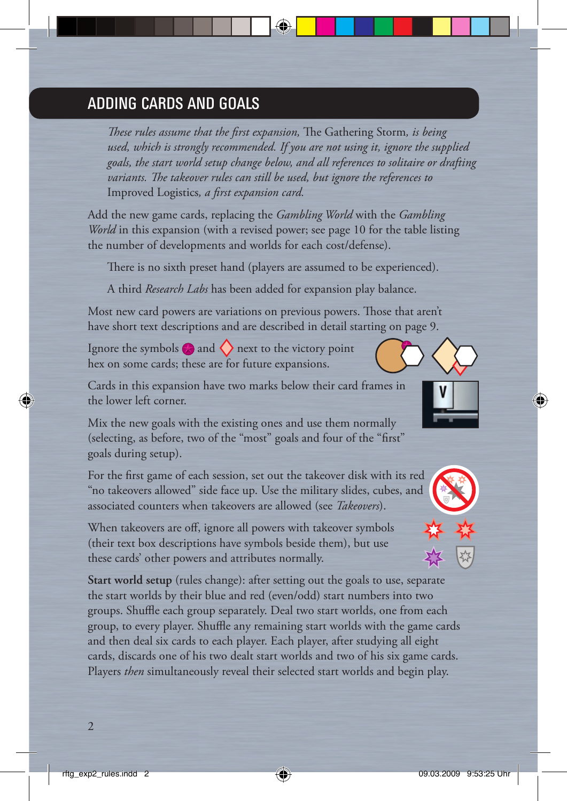### ADDING CARDS AND GOALS

*These rules assume that the first expansion*, The Gathering Storm, is being  *used, which is strongly recommended. If you are not using it, ignore the supplied goals, the start world setup change below, and all references to solitaire or drafting variants. The takeover rules can still be used, but ignore the references to* Improved Logistics, a first expansion card.

Add the new game cards, replacing the *Gambling World* with the *Gambling World* in this expansion (with a revised power; see page 10 for the table listing the number of developments and worlds for each cost/defense).

There is no sixth preset hand (players are assumed to be experienced).

A third *Research Labs* has been added for expansion play balance.

Most new card powers are variations on previous powers. Those that aren't have short text descriptions and are described in detail starting on page 9.

Ignore the symbols  $\bigotimes$  and  $\bigotimes$  next to the victory point hex on some cards; these are for future expansions.

Cards in this expansion have two marks below their card frames in the lower left corner.

Mix the new goals with the existing ones and use them normally (selecting, as before, two of the "most" goals and four of the "first" goals during setup).

For the first game of each session, set out the takeover disk with its red "no takeovers allowed" side face up. Use the military slides, cubes, and associated counters when takeovers are allowed (see *Takeovers*).

When takeovers are off, ignore all powers with takeover symbols (their text box descriptions have symbols beside them), but use these cards' other powers and attributes normally.

**Start world setup** (rules change): after setting out the goals to use, separate the start worlds by their blue and red (even/odd) start numbers into two groups. Shuffle each group separately. Deal two start worlds, one from each group, to every player. Shuffle any remaining start worlds with the game cards and then deal six cards to each player. Each player, after studying all eight cards, discards one of his two dealt start worlds and two of his six game cards. Players *then* simultaneously reveal their selected start worlds and begin play.

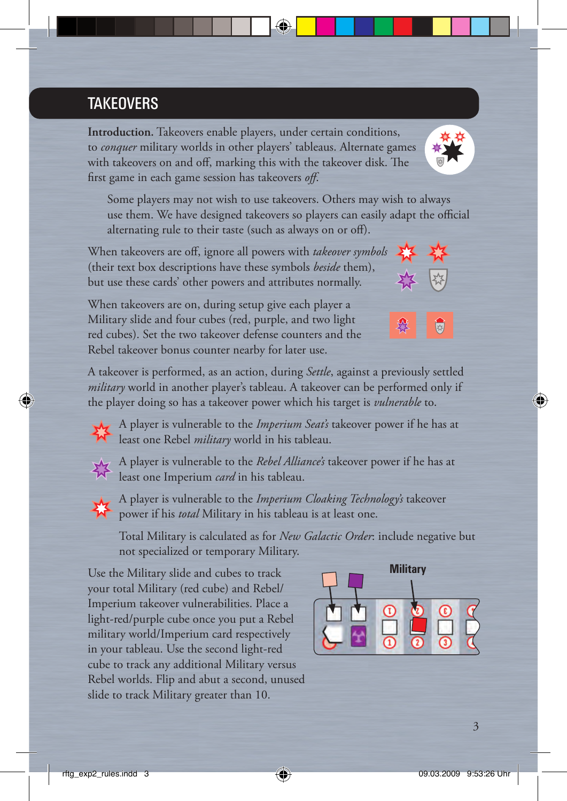# **TAKEOVERS**

**Introduction.** Takeovers enable players, under certain conditions, to *conquer* military worlds in other players' tableaus. Alternate games with takeovers on and off, marking this with the takeover disk. The first game in each game session has takeovers *off*.

 Some players may not wish to use takeovers. Others may wish to always use them. We have designed takeovers so players can easily adapt the official alternating rule to their taste (such as always on or off).

When takeovers are off, ignore all powers with *takeover symbols* (their text box descriptions have these symbols *beside* them), but use these cards' other powers and attributes normally.

When takeovers are on, during setup give each player a Military slide and four cubes (red, purple, and two light red cubes). Set the two takeover defense counters and the Rebel takeover bonus counter nearby for later use.

A takeover is performed, as an action, during *Settle*, against a previously settled *military* world in another player's tableau. A takeover can be performed only if the player doing so has a takeover power which his target is *vulnerable* to.

A player is vulnerable to the *Imperium Seat's* takeover power if he has at **Least one Rebel** *military* world in his tableau.

A player is vulnerable to the *Rebel Alliance's* takeover power if he has at

**IN** least one Imperium *card* in his tableau. A player is vulnerable to the *Imperium Cloaking Technology's* takeover

**Propose** power if his *total* Military in his tableau is at least one.

 Total Military is calculated as for *New Galactic Order*: include negative but not specialized or temporary Military.

Use the Military slide and cubes to track your total Military (red cube) and Rebel/ Imperium takeover vulnerabilities. Place a light-red/purple cube once you put a Rebel military world/Imperium card respectively in your tableau. Use the second light-red cube to track any additional Military versus Rebel worlds. Flip and abut a second, unused slide to track Military greater than 10.



**Military**





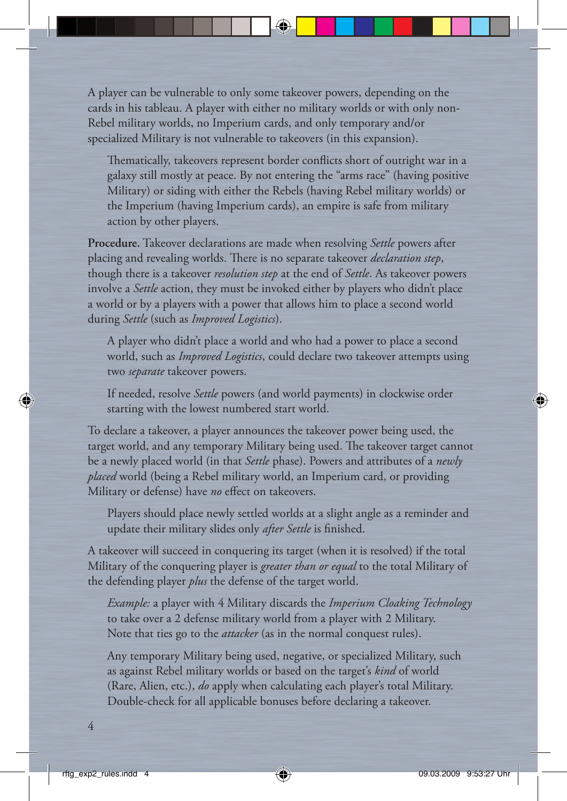A player can be vulnerable to only some takeover powers, depending on the cards in his tableau. A player with either no military worlds or with only non-Rebel military worlds, no Imperium cards, and only temporary and/or specialized Military is not vulnerable to takeovers (in this expansion).

Thematically, takeovers represent border conflicts short of outright war in a galaxy still mostly at peace. By not entering the "arms race" (having positive Military) or siding with either the Rebels (having Rebel military worlds) or the Imperium (having Imperium cards), an empire is safe from military action by other players.

**Procedure.** Takeover declarations are made when resolving *Settle* powers after placing and revealing worlds. There is no separate takeover *declaration* step, though there is a takeover *resolution step* at the end of *Settle*. As takeover powers involve a *Settle* action, they must be invoked either by players who didn't place a world or by a players with a power that allows him to place a second world during *Settle* (such as *Improved Logistics*).

 A player who didn't place a world and who had a power to place a second world, such as *Improved Logistics*, could declare two takeover attempts using two *separate* takeover powers.

 If needed, resolve *Settle* powers (and world payments) in clockwise order starting with the lowest numbered start world.

To declare a takeover, a player announces the takeover power being used, the target world, and any temporary Military being used. The takeover target cannot be a newly placed world (in that *Settle* phase). Powers and attributes of a *newly placed* world (being a Rebel military world, an Imperium card, or providing Military or defense) have *no* effect on takeovers.

 Players should place newly settled worlds at a slight angle as a reminder and update their military slides only *after Settle* is finished.

A takeover will succeed in conquering its target (when it is resolved) if the total Military of the conquering player is *greater than or equal* to the total Military of the defending player *plus* the defense of the target world.

 *Example:* a player with 4 Military discards the *Imperium Cloaking Technology* to take over a 2 defense military world from a player with 2 Military. Note that ties go to the *attacker* (as in the normal conquest rules).

 Any temporary Military being used, negative, or specialized Military, such as against Rebel military worlds or based on the target's *kind* of world (Rare, Alien, etc.), *do* apply when calculating each player's total Military. Double-check for all applicable bonuses before declaring a takeover.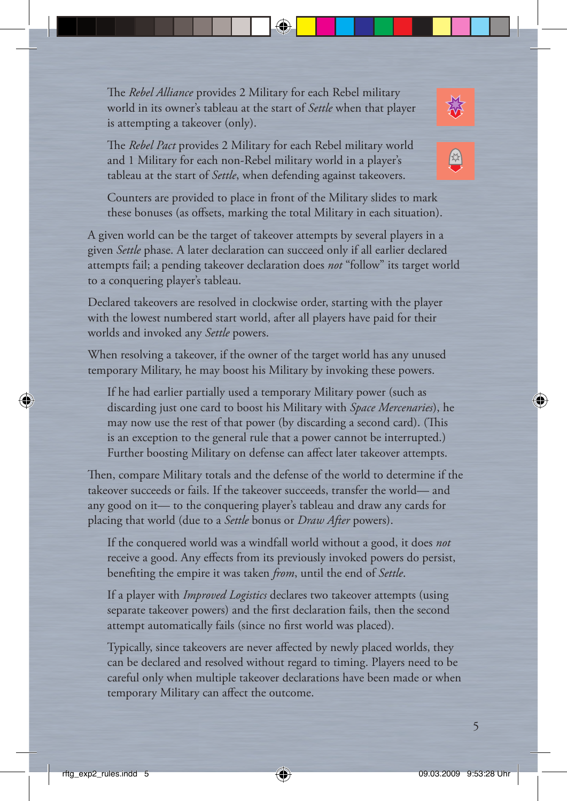The *Rebel Alliance* provides 2 Military for each Rebel military world in its owner's tableau at the start of *Settle* when that player is attempting a takeover (only).

The *Rebel Pact* provides 2 Military for each Rebel military world and 1 Military for each non-Rebel military world in a player's tableau at the start of *Settle*, when defending against takeovers.

 Counters are provided to place in front of the Military slides to mark these bonuses (as offsets, marking the total Military in each situation).

A given world can be the target of takeover attempts by several players in a given *Settle* phase. A later declaration can succeed only if all earlier declared attempts fail; a pending takeover declaration does *not* "follow" its target world to a conquering player's tableau.

Declared takeovers are resolved in clockwise order, starting with the player with the lowest numbered start world, after all players have paid for their worlds and invoked any *Settle* powers.

When resolving a takeover, if the owner of the target world has any unused temporary Military, he may boost his Military by invoking these powers.

 If he had earlier partially used a temporary Military power (such as discarding just one card to boost his Military with *Space Mercenaries*), he may now use the rest of that power (by discarding a second card). (This is an exception to the general rule that a power cannot be interrupted.) Further boosting Military on defense can affect later takeover attempts.

Then, compare Military totals and the defense of the world to determine if the takeover succeeds or fails. If the takeover succeeds, transfer the world— and any good on it— to the conquering player's tableau and draw any cards for placing that world (due to a *Settle* bonus or *Draw After* powers).

 If the conquered world was a windfall world without a good, it does *not* receive a good. Any effects from its previously invoked powers do persist, benefiting the empire it was taken *from*, until the end of *Settle*.

 If a player with *Improved Logistics* declares two takeover attempts (using separate takeover powers) and the first declaration fails, then the second attempt automatically fails (since no first world was placed).

Typically, since takeovers are never affected by newly placed worlds, they can be declared and resolved without regard to timing. Players need to be careful only when multiple takeover declarations have been made or when temporary Military can affect the outcome.



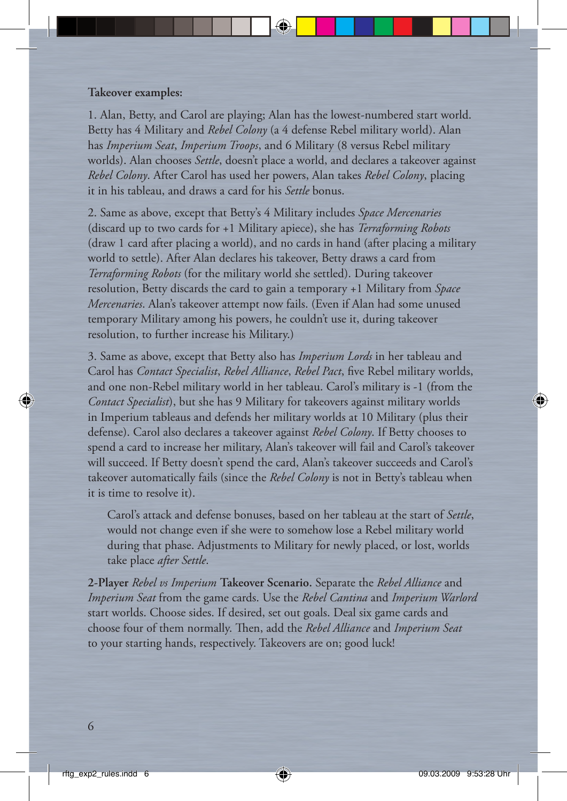#### **Takeover examples:**

1. Alan, Betty, and Carol are playing; Alan has the lowest-numbered start world. Betty has 4 Military and *Rebel Colony* (a 4 defense Rebel military world). Alan has *Imperium Seat*, *Imperium Troops*, and 6 Military (8 versus Rebel military worlds). Alan chooses *Settle*, doesn't place a world, and declares a takeover against *Rebel Colony*. After Carol has used her powers, Alan takes *Rebel Colony*, placing it in his tableau, and draws a card for his *Settle* bonus.

2. Same as above, except that Betty's 4 Military includes *Space Mercenaries* (discard up to two cards for +1 Military apiece), she has *Terraforming Robots* (draw 1 card after placing a world), and no cards in hand (after placing a military world to settle). After Alan declares his takeover, Betty draws a card from *Terraforming Robots* (for the military world she settled). During takeover resolution, Betty discards the card to gain a temporary +1 Military from *Space Mercenaries*. Alan's takeover attempt now fails. (Even if Alan had some unused temporary Military among his powers, he couldn't use it, during takeover resolution, to further increase his Military.)

3. Same as above, except that Betty also has *Imperium Lords* in her tableau and Carol has *Contact Specialist*, *Rebel Alliance*, *Rebel Pact*, five Rebel military worlds, and one non-Rebel military world in her tableau. Carol's military is -1 (from the *Contact Specialist*), but she has 9 Military for takeovers against military worlds in Imperium tableaus and defends her military worlds at 10 Military (plus their defense). Carol also declares a takeover against *Rebel Colony*. If Betty chooses to spend a card to increase her military, Alan's takeover will fail and Carol's takeover will succeed. If Betty doesn't spend the card, Alan's takeover succeeds and Carol's takeover automatically fails (since the *Rebel Colony* is not in Betty's tableau when it is time to resolve it).

 Carol's attack and defense bonuses, based on her tableau at the start of *Settle*, would not change even if she were to somehow lose a Rebel military world during that phase. Adjustments to Military for newly placed, or lost, worlds take place *after Settle*.

**2-Player** *Rebel vs Imperium* **Takeover Scenario.** Separate the *Rebel Alliance* and *Imperium Seat* from the game cards. Use the *Rebel Cantina* and *Imperium Warlord* start worlds. Choose sides. If desired, set out goals. Deal six game cards and choose four of them normally. Then, add the *Rebel Alliance* and *Imperium Seat* to your starting hands, respectively. Takeovers are on; good luck!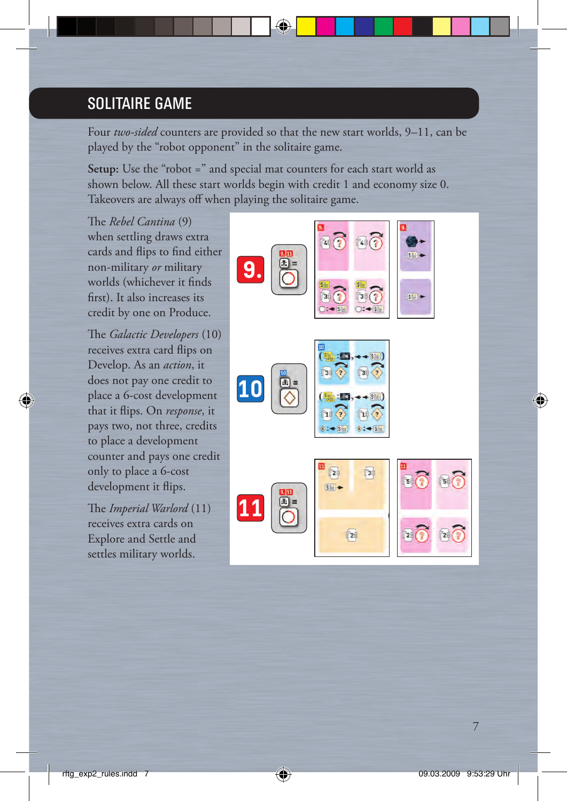## SOLITAIRE GAME

Four *two-sided* counters are provided so that the new start worlds, 9–11, can be played by the "robot opponent" in the solitaire game.

Setup: Use the "robot =" and special mat counters for each start world as shown below. All these start worlds begin with credit 1 and economy size 0. Takeovers are always off when playing the solitaire game.

The *Rebel Cantina* (9) when settling draws extra cards and flips to find either non-military *or* military worlds (whichever it finds first). It also increases its credit by one on Produce.

The *Galactic Developers* (10) receives extra card flips on Develop. As an *action*, it does not pay one credit to place a 6-cost development that it flips. On *response*, it pays two, not three, credits to place a development counter and pays one credit only to place a 6-cost development it flips.

The *Imperial Warlord* (11) receives extra cards on Explore and Settle and settles military worlds.

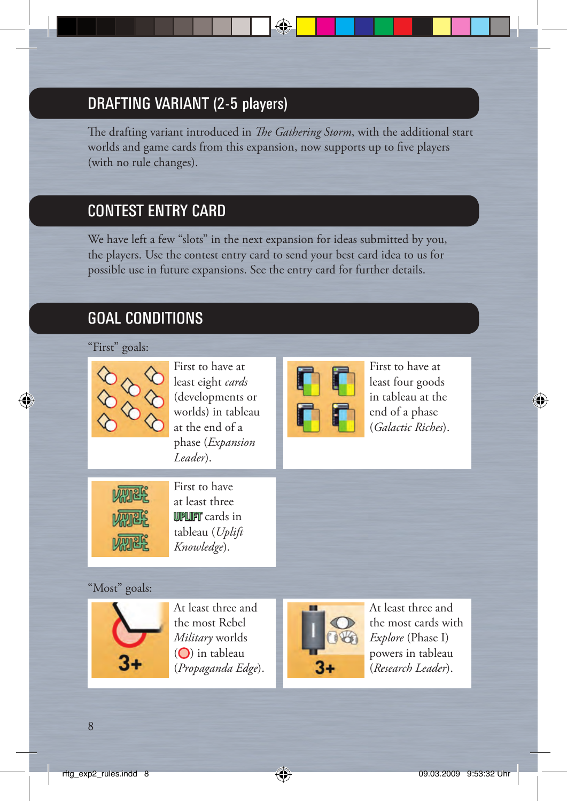# DRAFTING VARIANT (2-5 players)

The drafting variant introduced in *The Gathering Storm*, with the additional start worlds and game cards from this expansion, now supports up to five players (with no rule changes).

## CONTEST ENTRY CARD

We have left a few "slots" in the next expansion for ideas submitted by you, the players. Use the contest entry card to send your best card idea to us for possible use in future expansions. See the entry card for further details.

# GOAL CONDITIONS

#### "First" goals:



First to have at least eight *cards* (developments or worlds) in tableau at the end of a phase (*Expansion Leader*).



First to have at least four goods in tableau at the end of a phase (*Galactic Riches*).



First to have at least three **UPLIFT** cards in tableau (*Uplift Knowledge*).

### "Most" goals:



At least three and the most Rebel *Military* worlds  $(O)$  in tableau (*Propaganda Edge*).



At least three and the most cards with *Explore* (Phase I) powers in tableau (*Research Leader*).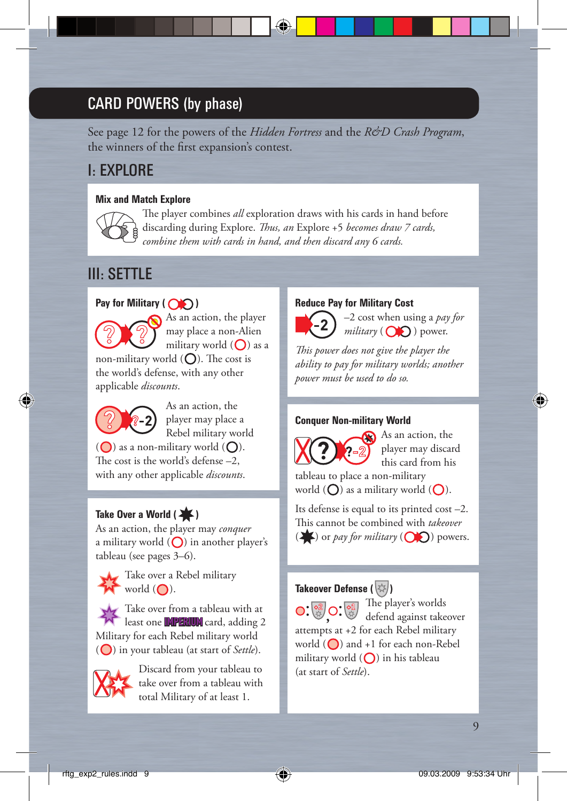# CARD POWERS (by phase)

See page 12 for the powers of the *Hidden Fortress* and the *R&D Crash Program*, the winners of the first expansion's contest.

### I: EXPLORE

#### **Mix and Match Explore**



The player combines *all* exploration draws with his cards in hand before discarding during Explore. *Thus, an* Explore +5 *becomes draw 7 cards*,  *combine them with cards in hand, and then discard any 6 cards.*

### III: SETTLE

#### **Pay for Military (** $\bigcirc$ **)**



 As an action, the player may place a non-Alien military world  $(O)$  as a non-military world  $(Q)$ . The cost is

the world's defense, with any other applicable *discounts*.



As an action, the player may place a Rebel military world

 $\overline{O}$ ) as a non-military world  $\overline{O}$ ). The cost is the world's defense  $-2$ , with any other applicable *discounts*.

#### Take Over a World (

As an action, the player may *conquer* a military world  $\left(\bigcap\right)$  in another player's tableau (see pages 3–6).



 Take over a Rebel military  $W$  world  $(O)$ .

Take over from a tableau with at least one **IMPERIUM** card, adding 2 Military for each Rebel military world ( $\bigcirc$ ) in your tableau (at start of *Settle*).



 Discard from your tableau to take over from a tableau with total Military of at least 1.

#### **Reduce Pay for Military Cost**



 –2 cost when using a *pay for*  $miliary$  ( $\bigcirc$ ) power.

This power does not give the player the *ability to pay for military worlds; another power must be used to do so.*

#### **Conquer Non-military World**



As an action, the player may discard this card from his

tableau to place a non-military world  $(O)$  as a military world  $(O)$ .

Its defense is equal to its printed cost –2. This cannot be combined with *takeover*  $\left(\frac{1}{\sqrt{2}}\right)$  or *pay for military*  $\left(\overrightarrow{O}\right)$  powers.

#### **Takeover Defense (** $\langle \hat{A} \rangle$ **)**

 $\bigcap$   $\bigotimes$   $\bigcap$   $\bigotimes$   $\bigotimes$   $\bigotimes$  The player's worlds defend against takeover attempts at +2 for each Rebel military world  $\left(\bigcirc\right)$  and +1 for each non-Rebel military world  $\left(\bigcap\right)$  in his tableau (at start of *Settle*).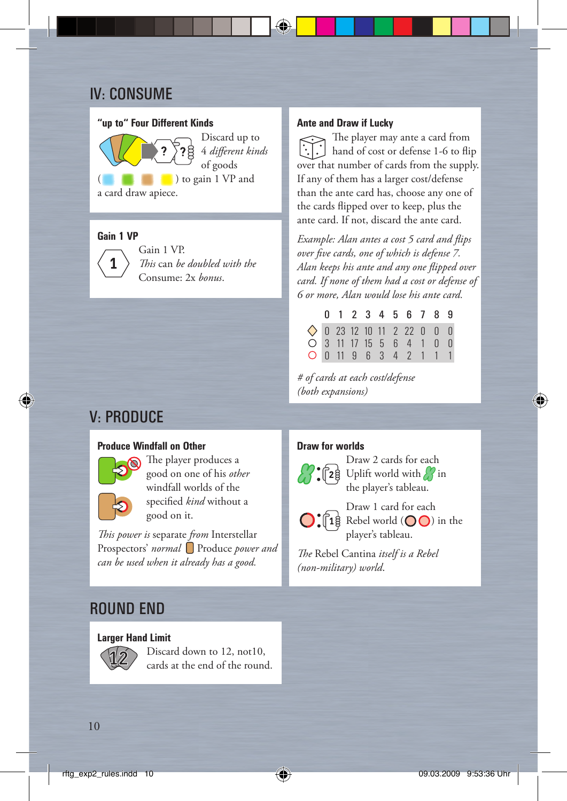## IV: CONSUME

#### **"up to" Four Different Kinds**

 Discard up to  $4$  *different kinds* of goods (c) to gain 1 VP and a card draw apiece.

#### **Gain 1 VP**



 Gain 1 VP. *This* can *be doubled with the* Consume: 2x *bonus*.

## V: PRODUCE

#### **Produce Windfall on Other**



The player produces a good on one of his *other* windfall worlds of the specified *kind* without a good on it.

*This power is separate from Interstellar* Prospectors' *normal* Produce *power and can be used when it already has a good.*

#### ROUND END

#### **Larger Hand Limit**



 Discard down to 12, not10, cards at the end of the round.

#### **Ante and Draw if Lucky**

The player may ante a card from hand of cost or defense 1-6 to flip over that number of cards from the supply. If any of them has a larger cost/defense than the ante card has, choose any one of the cards flipped over to keep, plus the ante card. If not, discard the ante card.

*Example: Alan antes a cost 5 card and flips over fi ve cards, one of which is defense 7. Alan keeps his ante and any one fl ipped over card. If none of them had a cost or defense of 6 or more, Alan would lose his ante card.*

|  |  |  | 0 1 2 3 4 5 6 7 8 9                 |  |  |
|--|--|--|-------------------------------------|--|--|
|  |  |  | $\Diamond$ 0 23 12 10 11 2 22 0 0 0 |  |  |
|  |  |  | ○ 3 11 17 15 5 6 4 1 0 0            |  |  |
|  |  |  | 0 0 11 9 6 3 4 2 1 1 1              |  |  |

*# of cards at each cost/defense (both expansions)*

#### **Draw for worlds**



 Draw 2 cards for each  $28$  Uplift world with  $\frac{1}{2}$  in the player's tableau.

 Draw 1 card for each  $\lceil 1 \rceil$  Rebel world  $\left( \bigcirc \bigcirc \right)$  in the player's tableau.

The Rebel Cantina *itself is a Rebel (non-military) world*.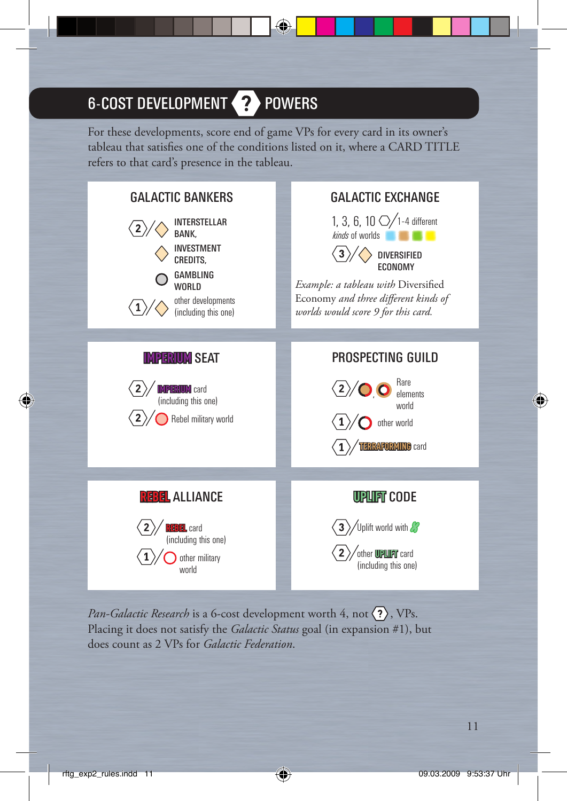# 6-COST DEVELOPMENT 2 POWERS

For these developments, score end of game VPs for every card in its owner's tableau that satisfies one of the conditions listed on it, where a CARD TITLE refers to that card's presence in the tableau.



*Pan-Galactic Research* is a 6-cost development worth 4, not  $\langle \overline{\cdot} \rangle$ , VPs. Placing it does not satisfy the *Galactic Status* goal (in expansion #1), but does count as 2 VPs for *Galactic Federation*.